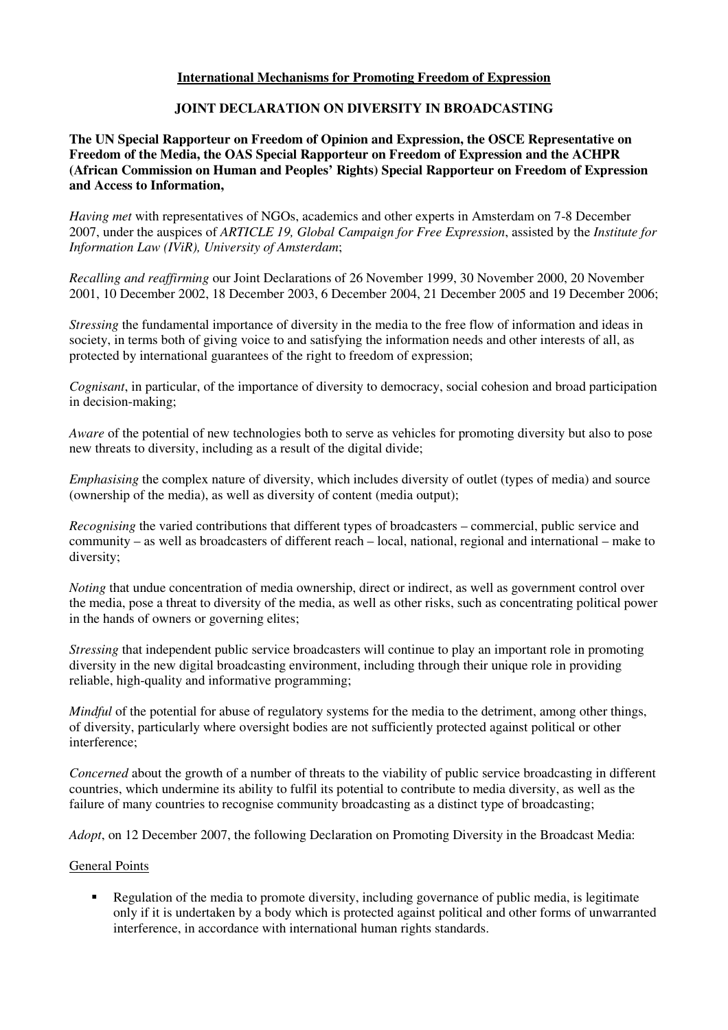# **International Mechanisms for Promoting Freedom of Expression**

# **JOINT DECLARATION ON DIVERSITY IN BROADCASTING**

## **The UN Special Rapporteur on Freedom of Opinion and Expression, the OSCE Representative on Freedom of the Media, the OAS Special Rapporteur on Freedom of Expression and the ACHPR (African Commission on Human and Peoples' Rights) Special Rapporteur on Freedom of Expression and Access to Information,**

*Having met* with representatives of NGOs, academics and other experts in Amsterdam on 7-8 December 2007, under the auspices of *ARTICLE 19, Global Campaign for Free Expression*, assisted by the *Institute for Information Law (IViR), University of Amsterdam*;

*Recalling and reaffirming* our Joint Declarations of 26 November 1999, 30 November 2000, 20 November 2001, 10 December 2002, 18 December 2003, 6 December 2004, 21 December 2005 and 19 December 2006;

*Stressing* the fundamental importance of diversity in the media to the free flow of information and ideas in society, in terms both of giving voice to and satisfying the information needs and other interests of all, as protected by international guarantees of the right to freedom of expression;

*Cognisant*, in particular, of the importance of diversity to democracy, social cohesion and broad participation in decision-making;

*Aware* of the potential of new technologies both to serve as vehicles for promoting diversity but also to pose new threats to diversity, including as a result of the digital divide;

*Emphasising* the complex nature of diversity, which includes diversity of outlet (types of media) and source (ownership of the media), as well as diversity of content (media output);

*Recognising* the varied contributions that different types of broadcasters – commercial, public service and community – as well as broadcasters of different reach – local, national, regional and international – make to diversity;

*Noting* that undue concentration of media ownership, direct or indirect, as well as government control over the media, pose a threat to diversity of the media, as well as other risks, such as concentrating political power in the hands of owners or governing elites;

*Stressing* that independent public service broadcasters will continue to play an important role in promoting diversity in the new digital broadcasting environment, including through their unique role in providing reliable, high-quality and informative programming;

*Mindful* of the potential for abuse of regulatory systems for the media to the detriment, among other things, of diversity, particularly where oversight bodies are not sufficiently protected against political or other interference;

*Concerned* about the growth of a number of threats to the viability of public service broadcasting in different countries, which undermine its ability to fulfil its potential to contribute to media diversity, as well as the failure of many countries to recognise community broadcasting as a distinct type of broadcasting;

*Adopt*, on 12 December 2007, the following Declaration on Promoting Diversity in the Broadcast Media:

#### General Points

Regulation of the media to promote diversity, including governance of public media, is legitimate only if it is undertaken by a body which is protected against political and other forms of unwarranted interference, in accordance with international human rights standards.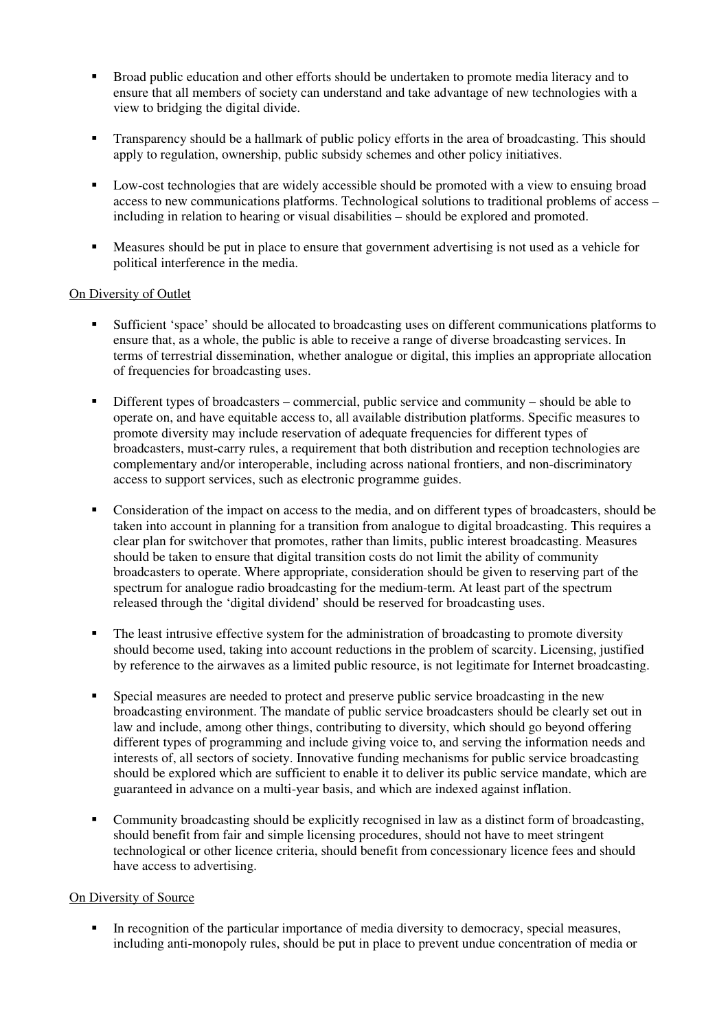- Broad public education and other efforts should be undertaken to promote media literacy and to ensure that all members of society can understand and take advantage of new technologies with a view to bridging the digital divide.
- **Transparency should be a hallmark of public policy efforts in the area of broadcasting. This should** apply to regulation, ownership, public subsidy schemes and other policy initiatives.
- Low-cost technologies that are widely accessible should be promoted with a view to ensuing broad access to new communications platforms. Technological solutions to traditional problems of access – including in relation to hearing or visual disabilities – should be explored and promoted.
- Measures should be put in place to ensure that government advertising is not used as a vehicle for political interference in the media.

## On Diversity of Outlet

- Sufficient 'space' should be allocated to broadcasting uses on different communications platforms to ensure that, as a whole, the public is able to receive a range of diverse broadcasting services. In terms of terrestrial dissemination, whether analogue or digital, this implies an appropriate allocation of frequencies for broadcasting uses.
- Different types of broadcasters commercial, public service and community should be able to operate on, and have equitable access to, all available distribution platforms. Specific measures to promote diversity may include reservation of adequate frequencies for different types of broadcasters, must-carry rules, a requirement that both distribution and reception technologies are complementary and/or interoperable, including across national frontiers, and non-discriminatory access to support services, such as electronic programme guides.
- Consideration of the impact on access to the media, and on different types of broadcasters, should be taken into account in planning for a transition from analogue to digital broadcasting. This requires a clear plan for switchover that promotes, rather than limits, public interest broadcasting. Measures should be taken to ensure that digital transition costs do not limit the ability of community broadcasters to operate. Where appropriate, consideration should be given to reserving part of the spectrum for analogue radio broadcasting for the medium-term. At least part of the spectrum released through the 'digital dividend' should be reserved for broadcasting uses.
- The least intrusive effective system for the administration of broadcasting to promote diversity should become used, taking into account reductions in the problem of scarcity. Licensing, justified by reference to the airwaves as a limited public resource, is not legitimate for Internet broadcasting.
- Special measures are needed to protect and preserve public service broadcasting in the new broadcasting environment. The mandate of public service broadcasters should be clearly set out in law and include, among other things, contributing to diversity, which should go beyond offering different types of programming and include giving voice to, and serving the information needs and interests of, all sectors of society. Innovative funding mechanisms for public service broadcasting should be explored which are sufficient to enable it to deliver its public service mandate, which are guaranteed in advance on a multi-year basis, and which are indexed against inflation.
- Community broadcasting should be explicitly recognised in law as a distinct form of broadcasting, should benefit from fair and simple licensing procedures, should not have to meet stringent technological or other licence criteria, should benefit from concessionary licence fees and should have access to advertising.

#### On Diversity of Source

In recognition of the particular importance of media diversity to democracy, special measures, including anti-monopoly rules, should be put in place to prevent undue concentration of media or